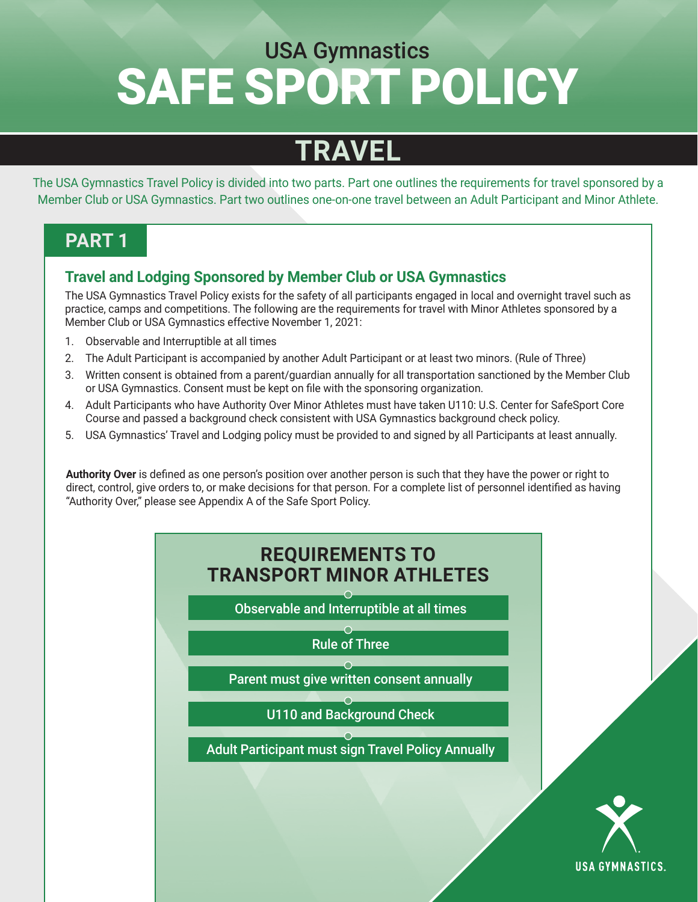# SAFE SPORT POLICY USA Gymnastics

### **TRAVEL**

The USA Gymnastics Travel Policy is divided into two parts. Part one outlines the requirements for travel sponsored by a Member Club or USA Gymnastics. Part two outlines one-on-one travel between an Adult Participant and Minor Athlete.

#### **PART 1**

#### **Travel and Lodging Sponsored by Member Club or USA Gymnastics**

The USA Gymnastics Travel Policy exists for the safety of all participants engaged in local and overnight travel such as practice, camps and competitions. The following are the requirements for travel with Minor Athletes sponsored by a Member Club or USA Gymnastics effective November 1, 2021:

- 1. Observable and Interruptible at all times
- 2. The Adult Participant is accompanied by another Adult Participant or at least two minors. (Rule of Three)
- 3. Written consent is obtained from a parent/guardian annually for all transportation sanctioned by the Member Club or USA Gymnastics. Consent must be kept on file with the sponsoring organization.
- 4. Adult Participants who have Authority Over Minor Athletes must have taken U110: U.S. Center for SafeSport Core Course and passed a background check consistent with USA Gymnastics background check policy.
- 5. USA Gymnastics' Travel and Lodging policy must be provided to and signed by all Participants at least annually.

**Authority Over** is defined as one person's position over another person is such that they have the power or right to direct, control, give orders to, or make decisions for that person. For a complete list of personnel identified as having "Authority Over," please see Appendix A of the Safe Sport Policy.

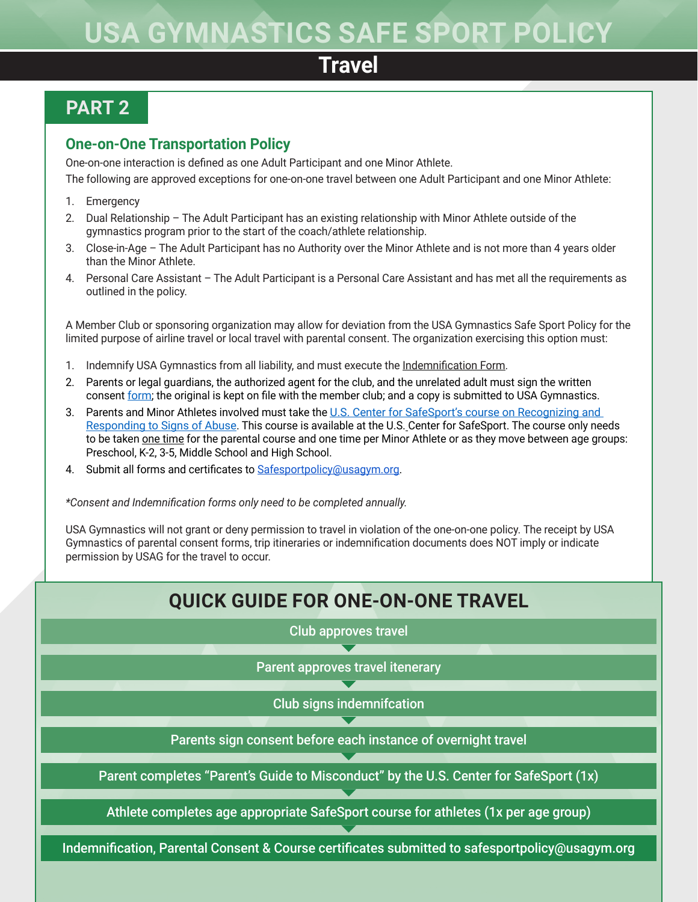## **USA GYMNASTICS SAFE SPORT POLICY**

### **Travel**

### **PART 2**

#### **One-on-One Transportation Policy**

One-on-one interaction is defined as one Adult Participant and one Minor Athlete.

The following are approved exceptions for one-on-one travel between one Adult Participant and one Minor Athlete:

- 1. Emergency
- 2. Dual Relationship The Adult Participant has an existing relationship with Minor Athlete outside of the gymnastics program prior to the start of the coach/athlete relationship.
- 3. Close-in-Age The Adult Participant has no Authority over the Minor Athlete and is not more than 4 years older than the Minor Athlete.
- 4. Personal Care Assistant The Adult Participant is a Personal Care Assistant and has met all the requirements as outlined in the policy.

A Member Club or sponsoring organization may allow for deviation from the USA Gymnastics Safe Sport Policy for the limited purpose of airline travel or local travel with parental consent. The organization exercising this option must:

- 1. Indemnify USA Gymnastics from all liability, and must execute the [Indemnification Form](https://usagym.org/PDFs/safesport/indemnification.pdf).
- 2. Parents or legal guardians, the authorized agent for the club, and the unrelated adult must sign the written consent [form](https://usagym.org/PDFs/safesport/travelplanform.pdf); the original is kept on file with the member club; and a copy is submitted to USA Gymnastics.
- 3. Parents and Minor Athletes involved must take the [U.S. Center for SafeSport's course on Recognizing and](https://athletesafety.org/training/index)  [Responding to Signs of Abuse.](https://athletesafety.org/training/index) This course is available at the U.S. Center for SafeSport. The course only needs to be taken one time for the parental course and one time per Minor Athlete or as they move between age groups: Preschool, K-2, 3-5, Middle School and High School.
- 4. Submit all forms and certificates to [Safesportpolicy@usagym.org](mailto:Safesportpolicy@usagym.org).

*\*Consent and Indemnification forms only need to be completed annually.* 

USA Gymnastics will not grant or deny permission to travel in violation of the one-on-one policy. The receipt by USA Gymnastics of parental consent forms, trip itineraries or indemnification documents does NOT imply or indicate permission by USAG for the travel to occur.